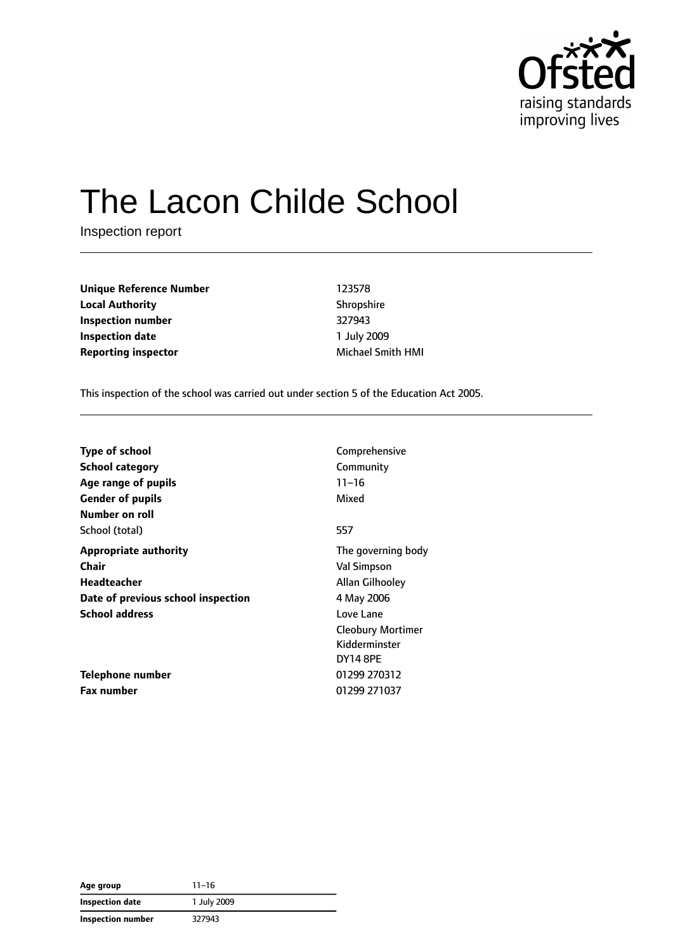

# The Lacon Childe School

Inspection report

**Unique Reference Number** 123578 **Local Authority** Shropshire **Inspection number** 327943 **Inspection date** 1 July 2009 **Reporting inspector** Michael Smith HMI

This inspection of the school was carried out under section 5 of the Education Act 2005.

| <b>Type of school</b>              | Comprehensive            |
|------------------------------------|--------------------------|
| <b>School category</b>             | Community                |
| Age range of pupils                | $11 - 16$                |
| <b>Gender of pupils</b>            | Mixed                    |
| Number on roll                     |                          |
| School (total)                     | 557                      |
| <b>Appropriate authority</b>       | The governing body       |
| Chair                              | <b>Val Simpson</b>       |
| Headteacher                        | Allan Gilhooley          |
| Date of previous school inspection | 4 May 2006               |
| <b>School address</b>              | Love Lane                |
|                                    | <b>Cleobury Mortimer</b> |
|                                    | Kidderminster            |
|                                    | <b>DY14 8PE</b>          |
| Telephone number                   | 01299 270312             |
| <b>Fax number</b>                  | 01299 271037             |

| Age group         | $11 - 16$   |
|-------------------|-------------|
| Inspection date   | 1 July 2009 |
| Inspection number | 327943      |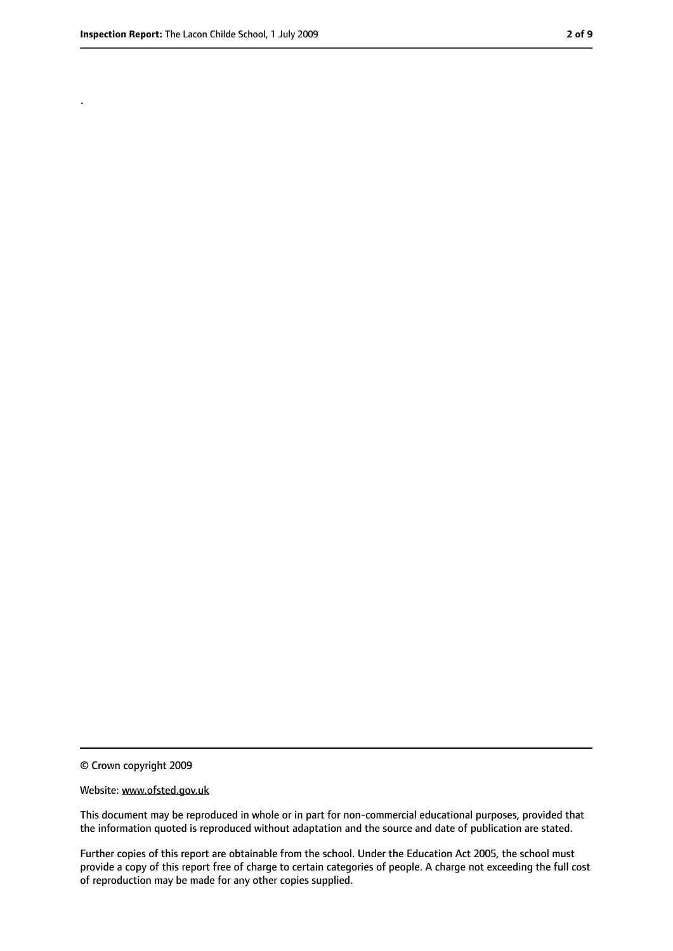.

<sup>©</sup> Crown copyright 2009

Website: www.ofsted.gov.uk

This document may be reproduced in whole or in part for non-commercial educational purposes, provided that the information quoted is reproduced without adaptation and the source and date of publication are stated.

Further copies of this report are obtainable from the school. Under the Education Act 2005, the school must provide a copy of this report free of charge to certain categories of people. A charge not exceeding the full cost of reproduction may be made for any other copies supplied.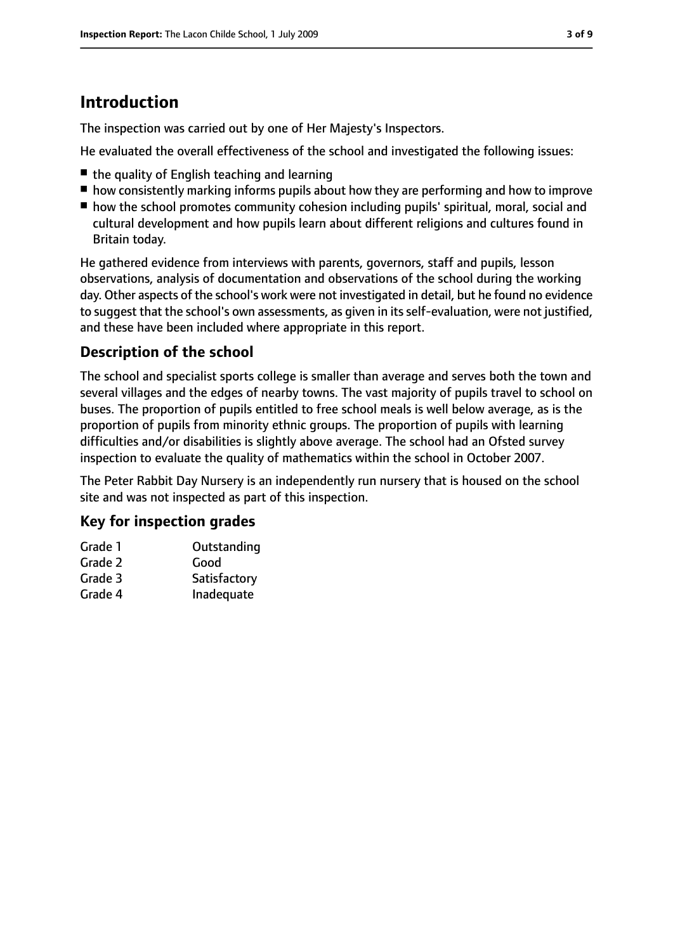# **Introduction**

The inspection was carried out by one of Her Majesty's Inspectors.

He evaluated the overall effectiveness of the school and investigated the following issues:

- the quality of English teaching and learning
- how consistently marking informs pupils about how they are performing and how to improve
- how the school promotes community cohesion including pupils' spiritual, moral, social and cultural development and how pupils learn about different religions and cultures found in Britain today.

He gathered evidence from interviews with parents, governors, staff and pupils, lesson observations, analysis of documentation and observations of the school during the working day. Other aspects of the school's work were not investigated in detail, but he found no evidence to suggest that the school's own assessments, as given in its self-evaluation, were not justified, and these have been included where appropriate in this report.

#### **Description of the school**

The school and specialist sports college is smaller than average and serves both the town and several villages and the edges of nearby towns. The vast majority of pupils travel to school on buses. The proportion of pupils entitled to free school meals is well below average, as is the proportion of pupils from minority ethnic groups. The proportion of pupils with learning difficulties and/or disabilities is slightly above average. The school had an Ofsted survey inspection to evaluate the quality of mathematics within the school in October 2007.

The Peter Rabbit Day Nursery is an independently run nursery that is housed on the school site and was not inspected as part of this inspection.

#### **Key for inspection grades**

| Outstanding  |
|--------------|
| Good         |
| Satisfactory |
| Inadequate   |
|              |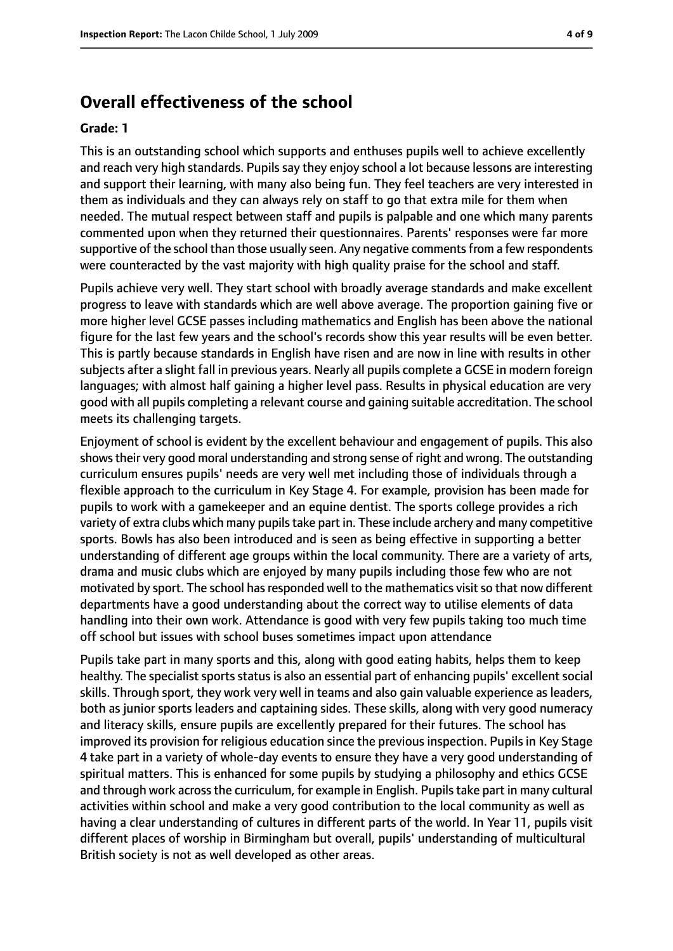#### **Overall effectiveness of the school**

#### **Grade: 1**

This is an outstanding school which supports and enthuses pupils well to achieve excellently and reach very high standards. Pupils say they enjoy school a lot because lessons are interesting and support their learning, with many also being fun. They feel teachers are very interested in them as individuals and they can always rely on staff to go that extra mile for them when needed. The mutual respect between staff and pupils is palpable and one which many parents commented upon when they returned their questionnaires. Parents' responses were far more supportive of the school than those usually seen. Any negative comments from a few respondents were counteracted by the vast majority with high quality praise for the school and staff.

Pupils achieve very well. They start school with broadly average standards and make excellent progress to leave with standards which are well above average. The proportion gaining five or more higher level GCSE passes including mathematics and English has been above the national figure for the last few years and the school's records show this year results will be even better. This is partly because standards in English have risen and are now in line with results in other subjects after a slight fall in previous years. Nearly all pupils complete a GCSE in modern foreign languages; with almost half gaining a higher level pass. Results in physical education are very good with all pupils completing a relevant course and gaining suitable accreditation. The school meets its challenging targets.

Enjoyment of school is evident by the excellent behaviour and engagement of pupils. This also showstheir very good moral understanding and strong sense of right and wrong. The outstanding curriculum ensures pupils' needs are very well met including those of individuals through a flexible approach to the curriculum in Key Stage 4. For example, provision has been made for pupils to work with a gamekeeper and an equine dentist. The sports college provides a rich variety of extra clubs which many pupils take part in. These include archery and many competitive sports. Bowls has also been introduced and is seen as being effective in supporting a better understanding of different age groups within the local community. There are a variety of arts, drama and music clubs which are enjoyed by many pupils including those few who are not motivated by sport. The school has responded well to the mathematics visit so that now different departments have a good understanding about the correct way to utilise elements of data handling into their own work. Attendance is good with very few pupils taking too much time off school but issues with school buses sometimes impact upon attendance

Pupils take part in many sports and this, along with good eating habits, helps them to keep healthy. The specialist sports status is also an essential part of enhancing pupils' excellent social skills. Through sport, they work very well in teams and also gain valuable experience as leaders, both as junior sports leaders and captaining sides. These skills, along with very good numeracy and literacy skills, ensure pupils are excellently prepared for their futures. The school has improved its provision for religious education since the previous inspection. Pupils in Key Stage 4 take part in a variety of whole-day events to ensure they have a very good understanding of spiritual matters. This is enhanced for some pupils by studying a philosophy and ethics GCSE and through work across the curriculum, for example in English. Pupils take part in many cultural activities within school and make a very good contribution to the local community as well as having a clear understanding of cultures in different parts of the world. In Year 11, pupils visit different places of worship in Birmingham but overall, pupils' understanding of multicultural British society is not as well developed as other areas.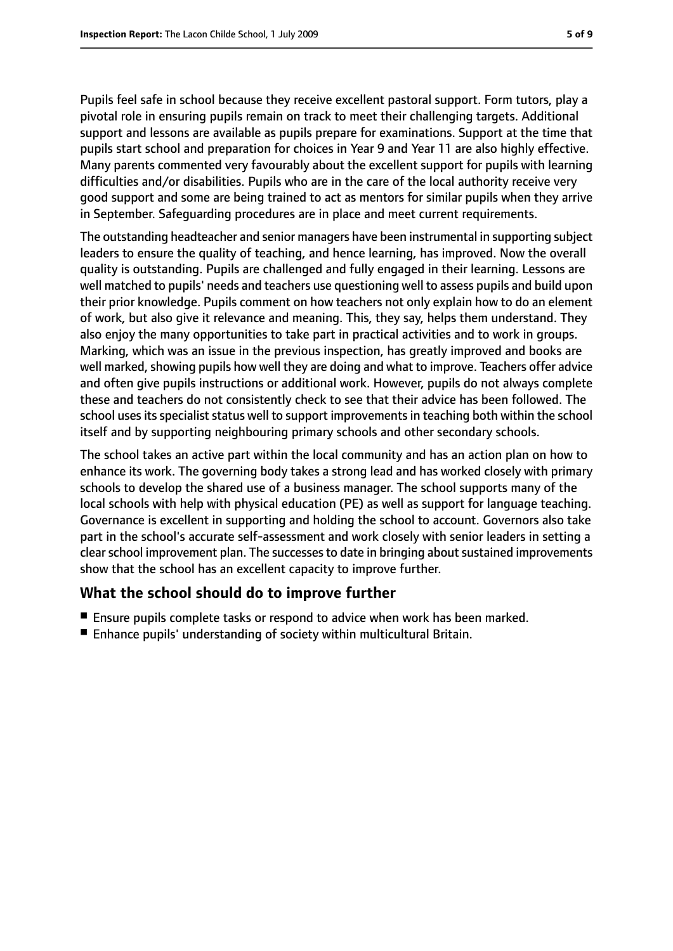Pupils feel safe in school because they receive excellent pastoral support. Form tutors, play a pivotal role in ensuring pupils remain on track to meet their challenging targets. Additional support and lessons are available as pupils prepare for examinations. Support at the time that pupils start school and preparation for choices in Year 9 and Year 11 are also highly effective. Many parents commented very favourably about the excellent support for pupils with learning difficulties and/or disabilities. Pupils who are in the care of the local authority receive very good support and some are being trained to act as mentors for similar pupils when they arrive in September. Safeguarding procedures are in place and meet current requirements.

The outstanding headteacher and senior managers have been instrumental in supporting subject leaders to ensure the quality of teaching, and hence learning, has improved. Now the overall quality is outstanding. Pupils are challenged and fully engaged in their learning. Lessons are well matched to pupils' needs and teachers use questioning well to assess pupils and build upon their prior knowledge. Pupils comment on how teachers not only explain how to do an element of work, but also give it relevance and meaning. This, they say, helps them understand. They also enjoy the many opportunities to take part in practical activities and to work in groups. Marking, which was an issue in the previous inspection, has greatly improved and books are well marked, showing pupils how well they are doing and what to improve. Teachers offer advice and often give pupils instructions or additional work. However, pupils do not always complete these and teachers do not consistently check to see that their advice has been followed. The school uses its specialist status well to support improvements in teaching both within the school itself and by supporting neighbouring primary schools and other secondary schools.

The school takes an active part within the local community and has an action plan on how to enhance its work. The governing body takes a strong lead and has worked closely with primary schools to develop the shared use of a business manager. The school supports many of the local schools with help with physical education (PE) as well as support for language teaching. Governance is excellent in supporting and holding the school to account. Governors also take part in the school's accurate self-assessment and work closely with senior leaders in setting a clear school improvement plan. The successes to date in bringing about sustained improvements show that the school has an excellent capacity to improve further.

#### **What the school should do to improve further**

- Ensure pupils complete tasks or respond to advice when work has been marked.
- Enhance pupils' understanding of society within multicultural Britain.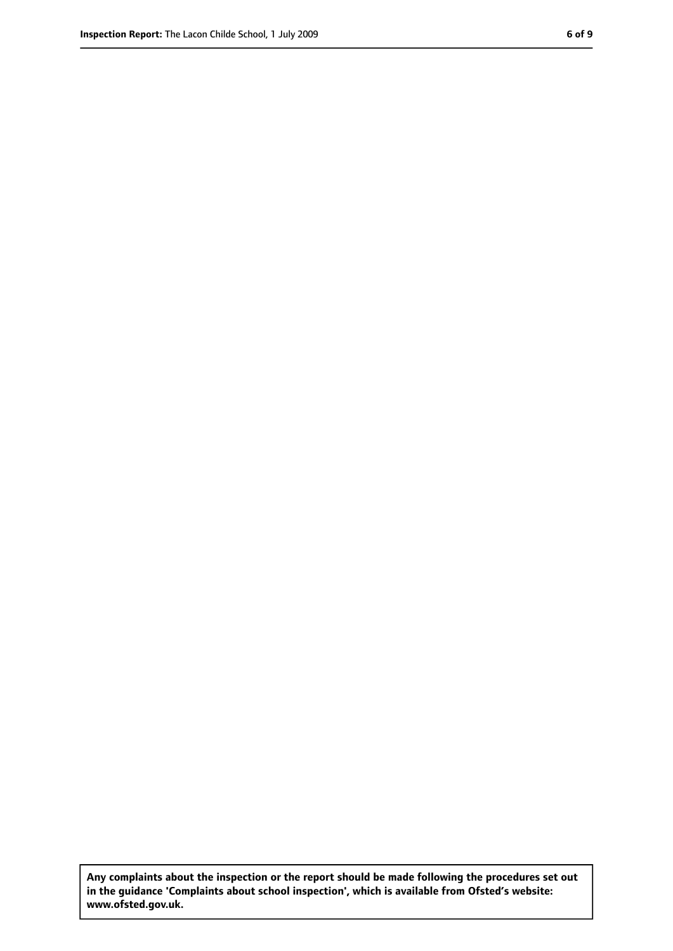**Any complaints about the inspection or the report should be made following the procedures set out in the guidance 'Complaints about school inspection', which is available from Ofsted's website: www.ofsted.gov.uk.**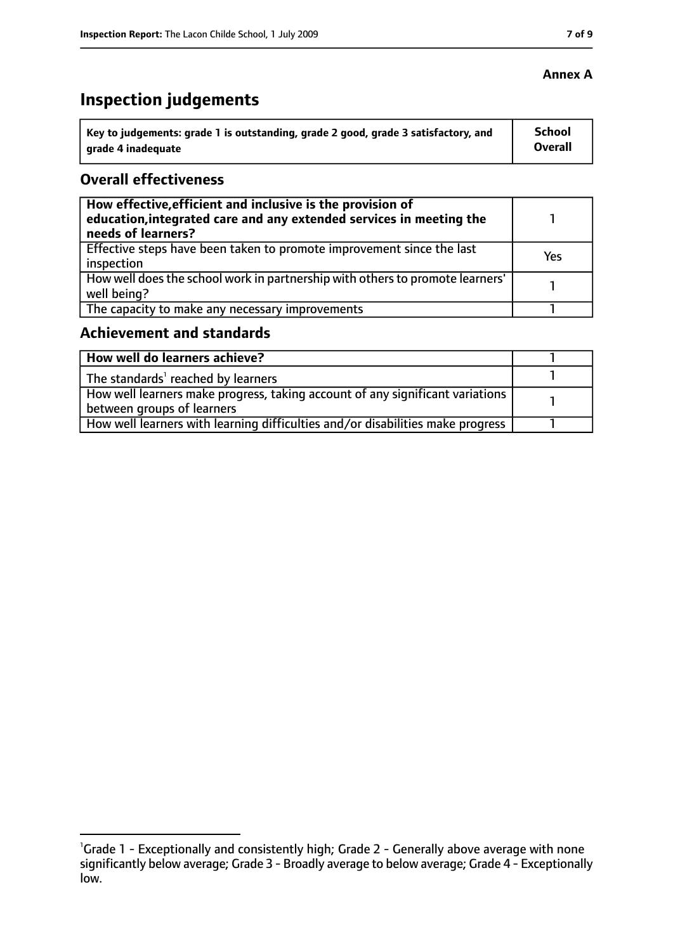# **Inspection judgements**

| Key to judgements: grade 1 is outstanding, grade 2 good, grade 3 satisfactory, and | <b>School</b>  |
|------------------------------------------------------------------------------------|----------------|
| grade 4 inadequate                                                                 | <b>Overall</b> |

#### **Overall effectiveness**

| How effective, efficient and inclusive is the provision of<br>education, integrated care and any extended services in meeting the<br>needs of learners? |     |
|---------------------------------------------------------------------------------------------------------------------------------------------------------|-----|
| Effective steps have been taken to promote improvement since the last<br>inspection                                                                     | Yes |
| How well does the school work in partnership with others to promote learners'<br>well being?                                                            |     |
| The capacity to make any necessary improvements                                                                                                         |     |

### **Achievement and standards**

| How well do learners achieve?                                                  |  |
|--------------------------------------------------------------------------------|--|
| The standards <sup>1</sup> reached by learners                                 |  |
| How well learners make progress, taking account of any significant variations  |  |
| between groups of learners                                                     |  |
| How well learners with learning difficulties and/or disabilities make progress |  |

#### **Annex A**

<sup>&</sup>lt;sup>1</sup>Grade 1 - Exceptionally and consistently high; Grade 2 - Generally above average with none significantly below average; Grade 3 - Broadly average to below average; Grade 4 - Exceptionally low.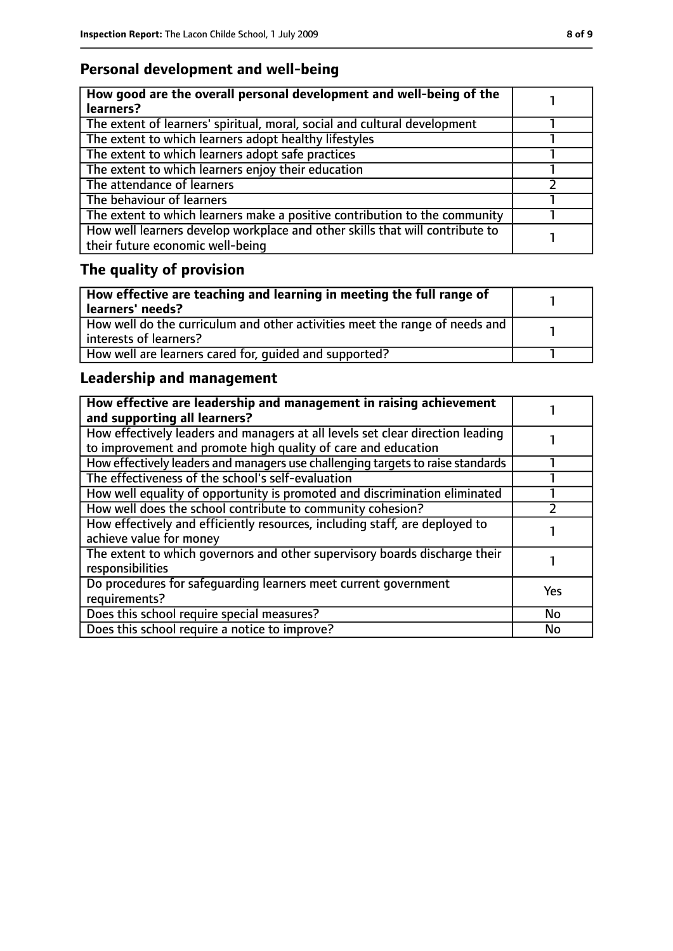## **Personal development and well-being**

| How good are the overall personal development and well-being of the<br>learners?                                 |  |
|------------------------------------------------------------------------------------------------------------------|--|
| The extent of learners' spiritual, moral, social and cultural development                                        |  |
| The extent to which learners adopt healthy lifestyles                                                            |  |
| The extent to which learners adopt safe practices                                                                |  |
| The extent to which learners enjoy their education                                                               |  |
| The attendance of learners                                                                                       |  |
| The behaviour of learners                                                                                        |  |
| The extent to which learners make a positive contribution to the community                                       |  |
| How well learners develop workplace and other skills that will contribute to<br>their future economic well-being |  |

# **The quality of provision**

| How effective are teaching and learning in meeting the full range of<br>learners' needs?              |  |
|-------------------------------------------------------------------------------------------------------|--|
| How well do the curriculum and other activities meet the range of needs and<br>interests of learners? |  |
| How well are learners cared for, quided and supported?                                                |  |

## **Leadership and management**

| How effective are leadership and management in raising achievement<br>and supporting all learners?                                              |     |
|-------------------------------------------------------------------------------------------------------------------------------------------------|-----|
| How effectively leaders and managers at all levels set clear direction leading<br>to improvement and promote high quality of care and education |     |
| How effectively leaders and managers use challenging targets to raise standards                                                                 |     |
| The effectiveness of the school's self-evaluation                                                                                               |     |
| How well equality of opportunity is promoted and discrimination eliminated                                                                      |     |
| How well does the school contribute to community cohesion?                                                                                      |     |
| How effectively and efficiently resources, including staff, are deployed to<br>achieve value for money                                          |     |
| The extent to which governors and other supervisory boards discharge their<br>responsibilities                                                  |     |
| Do procedures for safequarding learners meet current government<br>requirements?                                                                | Yes |
| Does this school require special measures?                                                                                                      | No  |
| Does this school require a notice to improve?                                                                                                   | No  |